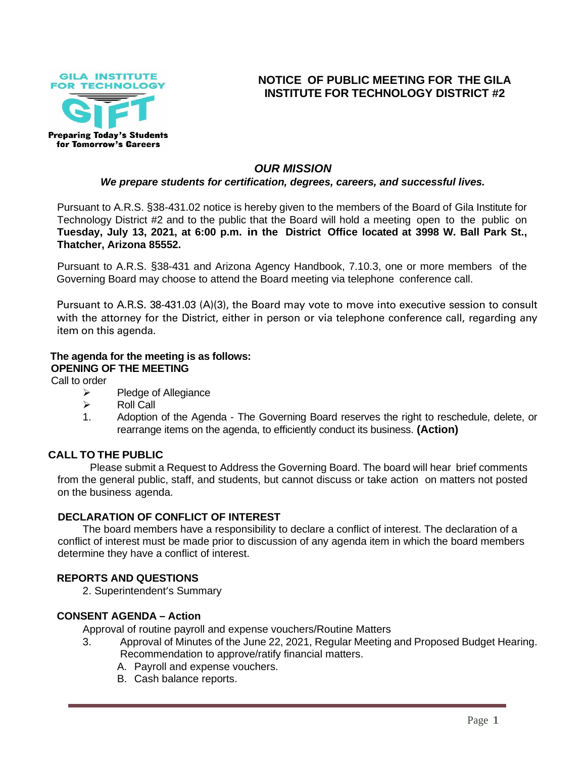

# **NOTICE OF PUBLIC MEETING FOR THE GILA INSTITUTE FOR TECHNOLOGY DISTRICT #2**

# *OUR MISSION*

#### *We prepare students for certification, degrees, careers, and successful lives.*

Pursuant to A.R.S. §38-431.02 notice is hereby given to the members of the Board of Gila Institute for Technology District #2 and to the public that the Board will hold a meeting open to the public on **Tuesday, July 13, 2021, at 6:00 p.m. in the District Office located at 3998 W. Ball Park St., Thatcher, Arizona 85552.**

Pursuant to A.R.S. §38-431 and Arizona Agency Handbook, 7.10.3, one or more members of the Governing Board may choose to attend the Board meeting via telephone conference call.

Pursuant to A.R.S. 38-431.03 (A)(3), the Board may vote to move into executive session to consult with the attorney for the District, either in person or via telephone conference call, regarding any item on this agenda.

# **The agenda for the meeting is as follows: OPENING OF THE MEETING**

Call to order

- ➢ Pledge of Allegiance
- ➢ Roll Call
- 1. Adoption of the Agenda The Governing Board reserves the right to reschedule, delete, or rearrange items on the agenda, to efficiently conduct its business. **(Action)**

# **CALL TO THE PUBLIC**

Please submit a Request to Address the Governing Board. The board will hear brief comments from the general public, staff, and students, but cannot discuss or take action on matters not posted on the business agenda.

#### **DECLARATION OF CONFLICT OF INTEREST**

The board members have a responsibility to declare a conflict of interest. The declaration of a conflict of interest must be made prior to discussion of any agenda item in which the board members determine they have a conflict of interest.

# **REPORTS AND QUESTIONS**

2. Superintendent's Summary

#### **CONSENT AGENDA – Action**

Approval of routine payroll and expense vouchers/Routine Matters

- 3. Approval of Minutes of the June 22, 2021, Regular Meeting and Proposed Budget Hearing. Recommendation to approve/ratify financial matters.
	- A. Payroll and expense vouchers.
	- B. Cash balance reports.